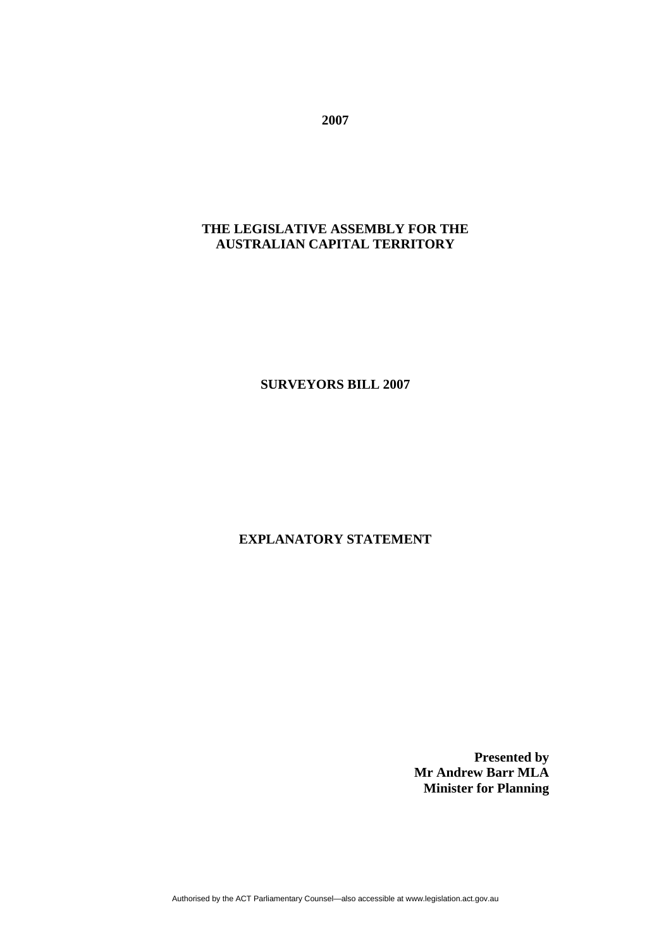**2007** 

## **THE LEGISLATIVE ASSEMBLY FOR THE AUSTRALIAN CAPITAL TERRITORY**

**SURVEYORS BILL 2007** 

# **EXPLANATORY STATEMENT**

**Presented by Mr Andrew Barr MLA Minister for Planning**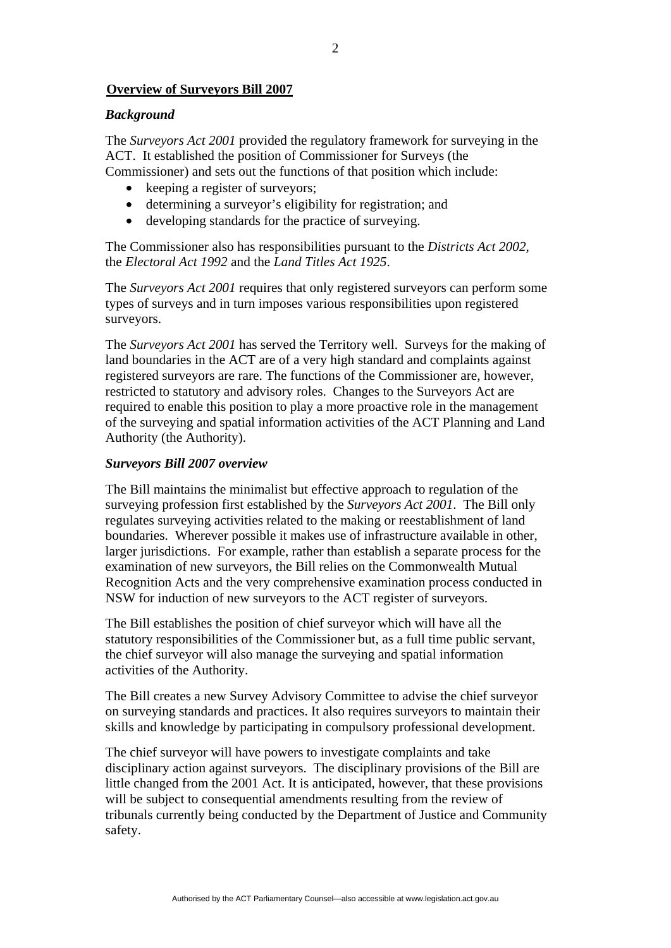### **Overview of Surveyors Bill 2007**

#### *Background*

The *Surveyors Act 2001* provided the regulatory framework for surveying in the ACT. It established the position of Commissioner for Surveys (the Commissioner) and sets out the functions of that position which include:

- keeping a register of surveyors;
- determining a surveyor's eligibility for registration; and
- developing standards for the practice of surveying.

The Commissioner also has responsibilities pursuant to the *Districts Act 2002*, the *Electoral Act 1992* and the *Land Titles Act 1925*.

The *Surveyors Act 2001* requires that only registered surveyors can perform some types of surveys and in turn imposes various responsibilities upon registered surveyors.

The *Surveyors Act 2001* has served the Territory well. Surveys for the making of land boundaries in the ACT are of a very high standard and complaints against registered surveyors are rare. The functions of the Commissioner are, however, restricted to statutory and advisory roles. Changes to the Surveyors Act are required to enable this position to play a more proactive role in the management of the surveying and spatial information activities of the ACT Planning and Land Authority (the Authority).

#### *Surveyors Bill 2007 overview*

The Bill maintains the minimalist but effective approach to regulation of the surveying profession first established by the *Surveyors Act 2001*. The Bill only regulates surveying activities related to the making or reestablishment of land boundaries. Wherever possible it makes use of infrastructure available in other, larger jurisdictions. For example, rather than establish a separate process for the examination of new surveyors, the Bill relies on the Commonwealth Mutual Recognition Acts and the very comprehensive examination process conducted in NSW for induction of new surveyors to the ACT register of surveyors.

The Bill establishes the position of chief surveyor which will have all the statutory responsibilities of the Commissioner but, as a full time public servant, the chief surveyor will also manage the surveying and spatial information activities of the Authority.

The Bill creates a new Survey Advisory Committee to advise the chief surveyor on surveying standards and practices. It also requires surveyors to maintain their skills and knowledge by participating in compulsory professional development.

The chief surveyor will have powers to investigate complaints and take disciplinary action against surveyors. The disciplinary provisions of the Bill are little changed from the 2001 Act. It is anticipated, however, that these provisions will be subject to consequential amendments resulting from the review of tribunals currently being conducted by the Department of Justice and Community safety.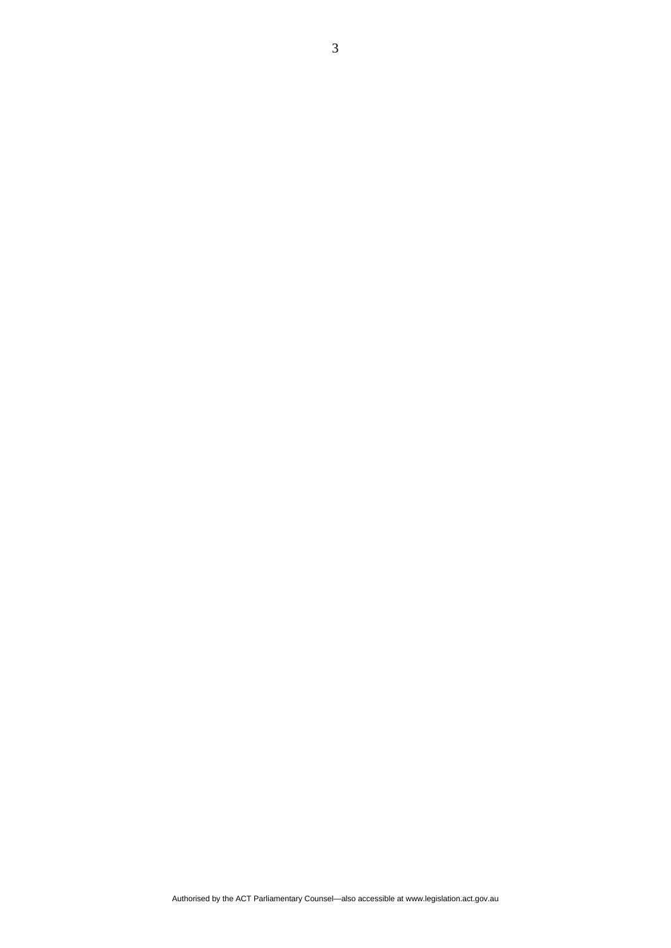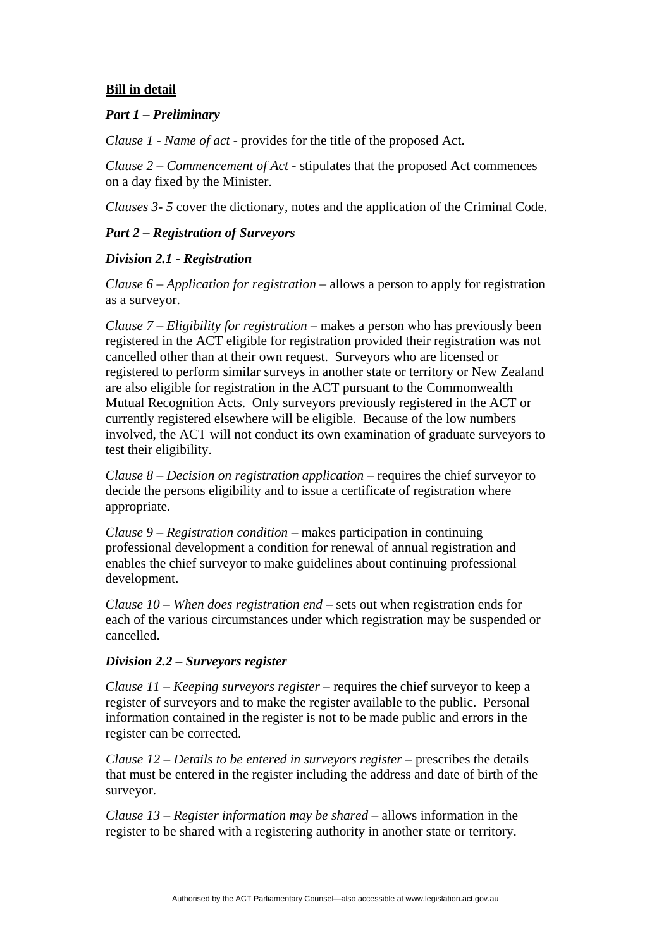## **Bill in detail**

### *Part 1 – Preliminary*

*Clause 1 - Name of act -* provides for the title of the proposed Act.

*Clause 2 – Commencement of Act -* stipulates that the proposed Act commences on a day fixed by the Minister.

*Clauses 3- 5* cover the dictionary, notes and the application of the Criminal Code.

#### *Part 2 – Registration of Surveyors*

### *Division 2.1 - Registration*

*Clause 6 – Application for registration –* allows a person to apply for registration as a surveyor.

*Clause 7 – Eligibility for registration –* makes a person who has previously been registered in the ACT eligible for registration provided their registration was not cancelled other than at their own request. Surveyors who are licensed or registered to perform similar surveys in another state or territory or New Zealand are also eligible for registration in the ACT pursuant to the Commonwealth Mutual Recognition Acts. Only surveyors previously registered in the ACT or currently registered elsewhere will be eligible. Because of the low numbers involved, the ACT will not conduct its own examination of graduate surveyors to test their eligibility.

*Clause 8 – Decision on registration application – requires the chief surveyor to* decide the persons eligibility and to issue a certificate of registration where appropriate.

*Clause 9 – Registration condition –* makes participation in continuing professional development a condition for renewal of annual registration and enables the chief surveyor to make guidelines about continuing professional development.

*Clause 10 – When does registration end –* sets out when registration ends for each of the various circumstances under which registration may be suspended or cancelled.

#### *Division 2.2 – Surveyors register*

*Clause 11 – Keeping surveyors register –* requires the chief surveyor to keep a register of surveyors and to make the register available to the public. Personal information contained in the register is not to be made public and errors in the register can be corrected.

*Clause 12 – Details to be entered in surveyors register* – prescribes the details that must be entered in the register including the address and date of birth of the surveyor.

*Clause 13 – Register information may be shared – allows information in the* register to be shared with a registering authority in another state or territory.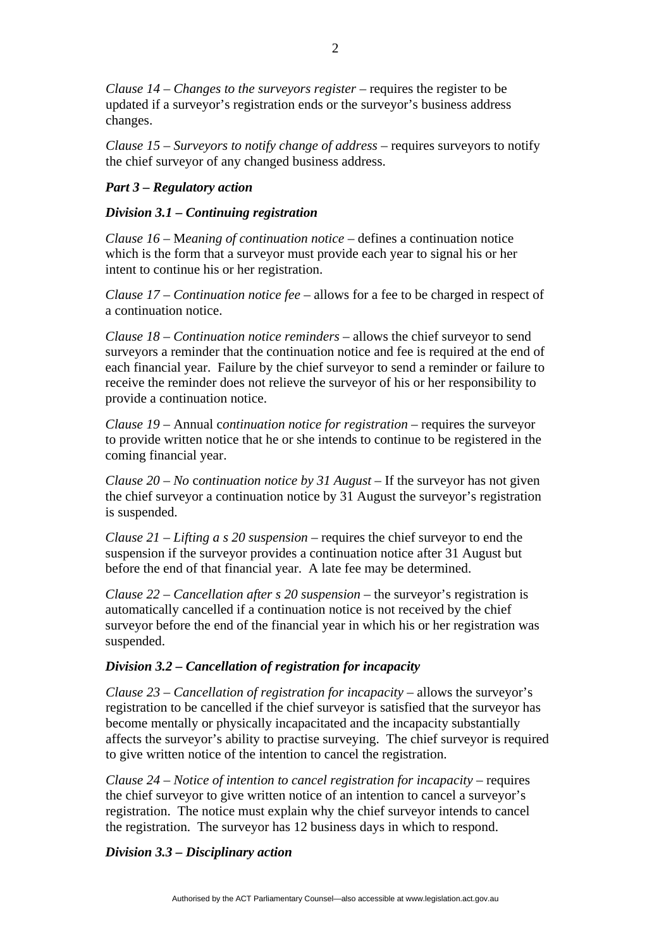*Clause 14 – Changes to the surveyors register* – requires the register to be updated if a surveyor's registration ends or the surveyor's business address changes.

*Clause 15 – Surveyors to notify change of address* – requires surveyors to notify the chief surveyor of any changed business address.

### *Part 3 – Regulatory action*

### *Division 3.1 – Continuing registration*

*Clause 16 –* M*eaning of continuation notice* – defines a continuation notice which is the form that a surveyor must provide each year to signal his or her intent to continue his or her registration.

*Clause 17 – Continuation notice fee* – allows for a fee to be charged in respect of a continuation notice.

*Clause 18 – Continuation notice reminders* – allows the chief surveyor to send surveyors a reminder that the continuation notice and fee is required at the end of each financial year. Failure by the chief surveyor to send a reminder or failure to receive the reminder does not relieve the surveyor of his or her responsibility to provide a continuation notice.

*Clause 19 –* Annual continuation notice for registration – requires the surveyor to provide written notice that he or she intends to continue to be registered in the coming financial year.

*Clause 20 – No* c*ontinuation notice by 31 August* – If the surveyor has not given the chief surveyor a continuation notice by 31 August the surveyor's registration is suspended.

*Clause 21 – Lifting a s 20 suspension* – requires the chief surveyor to end the suspension if the surveyor provides a continuation notice after 31 August but before the end of that financial year. A late fee may be determined.

*Clause 22 – Cancellation after s 20 suspension* – the surveyor's registration is automatically cancelled if a continuation notice is not received by the chief surveyor before the end of the financial year in which his or her registration was suspended.

### *Division 3.2 – Cancellation of registration for incapacity*

*Clause 23 – Cancellation of registration for incapacity* – allows the surveyor's registration to be cancelled if the chief surveyor is satisfied that the surveyor has become mentally or physically incapacitated and the incapacity substantially affects the surveyor's ability to practise surveying. The chief surveyor is required to give written notice of the intention to cancel the registration.

*Clause 24 – Notice of intention to cancel registration for incapacity – requires* the chief surveyor to give written notice of an intention to cancel a surveyor's registration. The notice must explain why the chief surveyor intends to cancel the registration. The surveyor has 12 business days in which to respond.

### *Division 3.3 – Disciplinary action*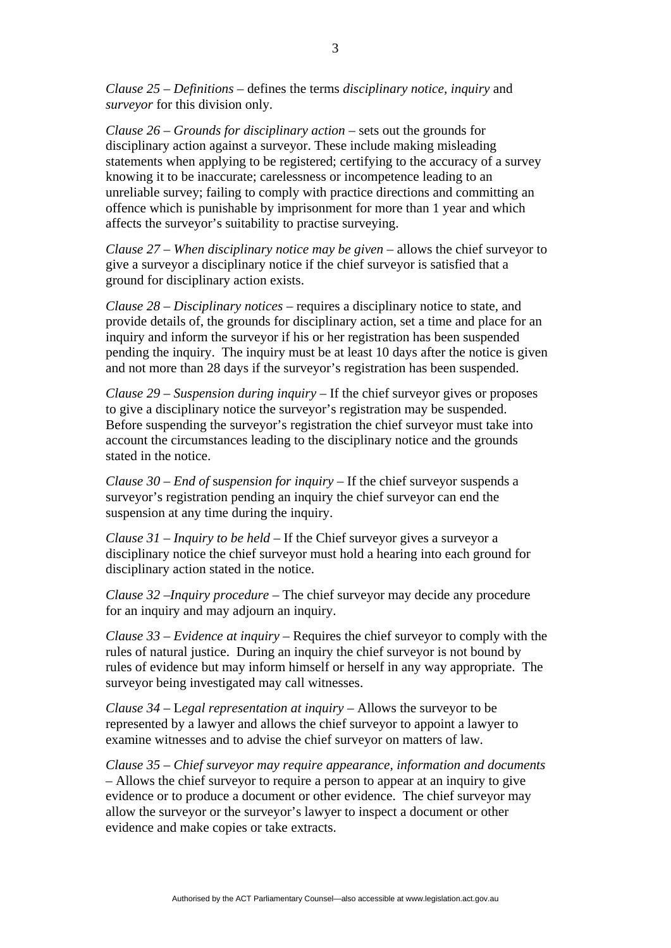*Clause 25 – Definitions* – defines the terms *disciplinary notice, inquiry* and *surveyor* for this division only.

*Clause 26 – Grounds for disciplinary action* – sets out the grounds for disciplinary action against a surveyor. These include making misleading statements when applying to be registered; certifying to the accuracy of a survey knowing it to be inaccurate; carelessness or incompetence leading to an unreliable survey; failing to comply with practice directions and committing an offence which is punishable by imprisonment for more than 1 year and which affects the surveyor's suitability to practise surveying.

*Clause 27 – When disciplinary notice may be given* – allows the chief surveyor to give a surveyor a disciplinary notice if the chief surveyor is satisfied that a ground for disciplinary action exists.

*Clause 28 – Disciplinary notices* – requires a disciplinary notice to state, and provide details of, the grounds for disciplinary action, set a time and place for an inquiry and inform the surveyor if his or her registration has been suspended pending the inquiry. The inquiry must be at least 10 days after the notice is given and not more than 28 days if the surveyor's registration has been suspended.

*Clause 29 – Suspension during inquiry* – If the chief surveyor gives or proposes to give a disciplinary notice the surveyor's registration may be suspended. Before suspending the surveyor's registration the chief surveyor must take into account the circumstances leading to the disciplinary notice and the grounds stated in the notice.

*Clause 30 – End of* s*uspension for inquiry* – If the chief surveyor suspends a surveyor's registration pending an inquiry the chief surveyor can end the suspension at any time during the inquiry.

*Clause 31 – Inquiry to be held* – If the Chief surveyor gives a surveyor a disciplinary notice the chief surveyor must hold a hearing into each ground for disciplinary action stated in the notice.

*Clause 32 –Inquiry procedure* – The chief surveyor may decide any procedure for an inquiry and may adjourn an inquiry.

*Clause 33 – Evidence at inquiry* – Requires the chief surveyor to comply with the rules of natural justice. During an inquiry the chief surveyor is not bound by rules of evidence but may inform himself or herself in any way appropriate. The surveyor being investigated may call witnesses.

*Clause 34 –* L*egal representation at inquiry* – Allows the surveyor to be represented by a lawyer and allows the chief surveyor to appoint a lawyer to examine witnesses and to advise the chief surveyor on matters of law.

*Clause 35 – Chief surveyor may require appearance, information and documents*  – Allows the chief surveyor to require a person to appear at an inquiry to give evidence or to produce a document or other evidence. The chief surveyor may allow the surveyor or the surveyor's lawyer to inspect a document or other evidence and make copies or take extracts.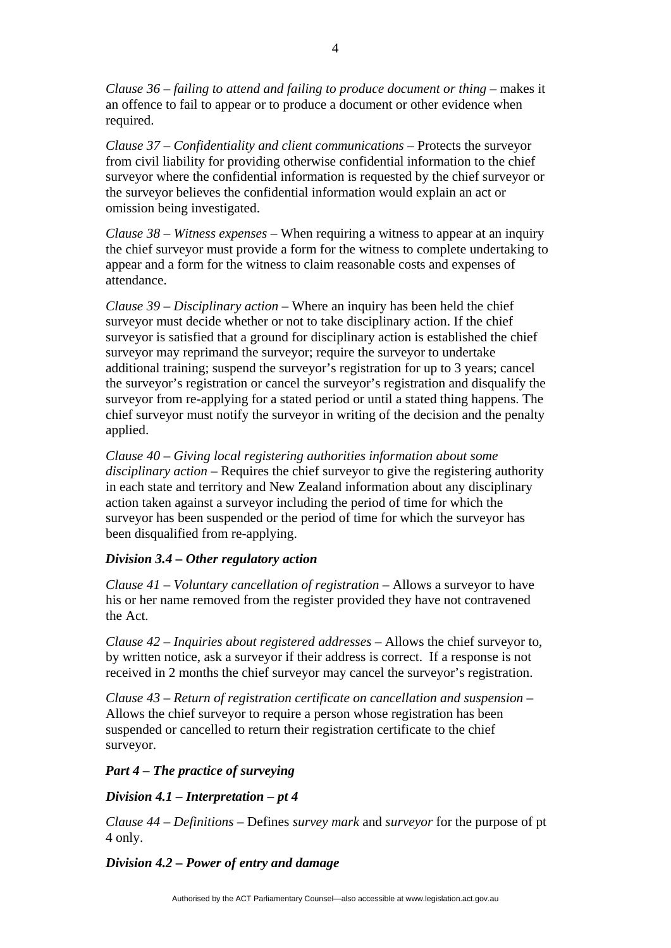*Clause 36 – failing to attend and failing to produce document or thing – makes it* an offence to fail to appear or to produce a document or other evidence when required.

*Clause 37 – Confidentiality and client communications* – Protects the surveyor from civil liability for providing otherwise confidential information to the chief surveyor where the confidential information is requested by the chief surveyor or the surveyor believes the confidential information would explain an act or omission being investigated.

*Clause 38 – Witness expenses* – When requiring a witness to appear at an inquiry the chief surveyor must provide a form for the witness to complete undertaking to appear and a form for the witness to claim reasonable costs and expenses of attendance.

*Clause 39 – Disciplinary action* – Where an inquiry has been held the chief surveyor must decide whether or not to take disciplinary action. If the chief surveyor is satisfied that a ground for disciplinary action is established the chief surveyor may reprimand the surveyor; require the surveyor to undertake additional training; suspend the surveyor's registration for up to 3 years; cancel the surveyor's registration or cancel the surveyor's registration and disqualify the surveyor from re-applying for a stated period or until a stated thing happens. The chief surveyor must notify the surveyor in writing of the decision and the penalty applied.

*Clause 40 – Giving local registering authorities information about some disciplinary action* – Requires the chief surveyor to give the registering authority in each state and territory and New Zealand information about any disciplinary action taken against a surveyor including the period of time for which the surveyor has been suspended or the period of time for which the surveyor has been disqualified from re-applying.

## *Division 3.4 – Other regulatory action*

*Clause 41 – Voluntary cancellation of registration – Allows a surveyor to have* his or her name removed from the register provided they have not contravened the Act.

*Clause 42 – Inquiries about registered addresses* – Allows the chief surveyor to, by written notice, ask a surveyor if their address is correct. If a response is not received in 2 months the chief surveyor may cancel the surveyor's registration.

*Clause 43 – Return of registration certificate on cancellation and suspension* – Allows the chief surveyor to require a person whose registration has been suspended or cancelled to return their registration certificate to the chief surveyor.

## *Part 4 – The practice of surveying*

### *Division 4.1 – Interpretation – pt 4*

*Clause 44 – Definitions* – Defines *survey mark* and *surveyor* for the purpose of pt 4 only.

## *Division 4.2 – Power of entry and damage*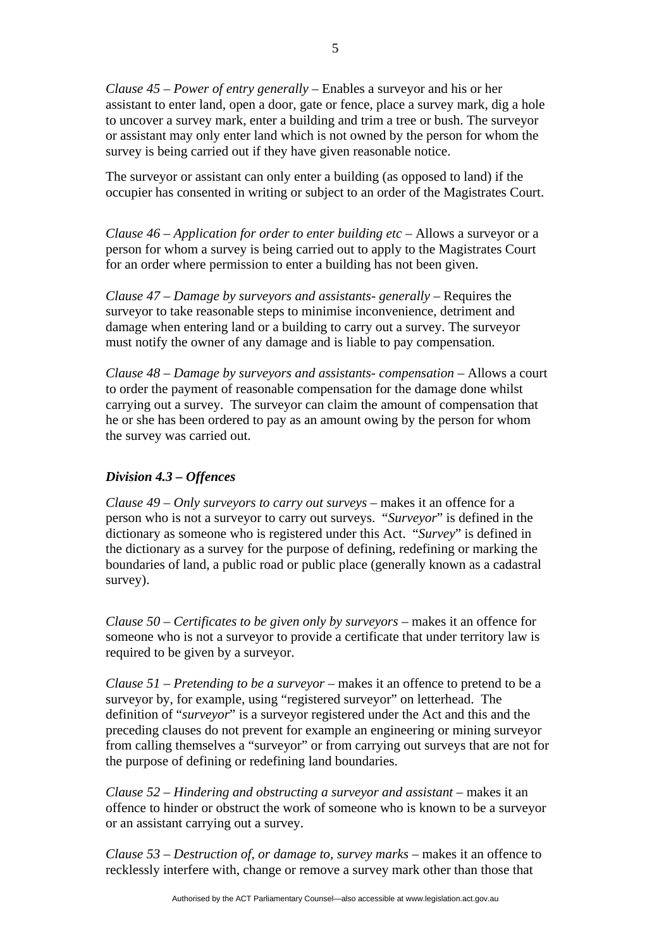*Clause 45 – Power of entry generally* – Enables a surveyor and his or her assistant to enter land, open a door, gate or fence, place a survey mark, dig a hole to uncover a survey mark, enter a building and trim a tree or bush. The surveyor or assistant may only enter land which is not owned by the person for whom the survey is being carried out if they have given reasonable notice.

The surveyor or assistant can only enter a building (as opposed to land) if the occupier has consented in writing or subject to an order of the Magistrates Court.

*Clause 46 – Application for order to enter building etc* – Allows a surveyor or a person for whom a survey is being carried out to apply to the Magistrates Court for an order where permission to enter a building has not been given.

*Clause 47 – Damage by surveyors and assistants- generally – Requires the* surveyor to take reasonable steps to minimise inconvenience, detriment and damage when entering land or a building to carry out a survey. The surveyor must notify the owner of any damage and is liable to pay compensation.

*Clause 48 – Damage by surveyors and assistants- compensation – Allows a court* to order the payment of reasonable compensation for the damage done whilst carrying out a survey. The surveyor can claim the amount of compensation that he or she has been ordered to pay as an amount owing by the person for whom the survey was carried out.

### *Division 4.3 – Offences*

*Clause 49 – Only surveyors to carry out surveys* – makes it an offence for a person who is not a surveyor to carry out surveys. "*Surveyor*" is defined in the dictionary as someone who is registered under this Act. "*Survey*" is defined in the dictionary as a survey for the purpose of defining, redefining or marking the boundaries of land, a public road or public place (generally known as a cadastral survey).

*Clause 50 – Certificates to be given only by surveyors* – makes it an offence for someone who is not a surveyor to provide a certificate that under territory law is required to be given by a surveyor.

*Clause 51 – Pretending to be a surveyor* – makes it an offence to pretend to be a surveyor by, for example, using "registered surveyor" on letterhead. The definition of "*surveyor*" is a surveyor registered under the Act and this and the preceding clauses do not prevent for example an engineering or mining surveyor from calling themselves a "surveyor" or from carrying out surveys that are not for the purpose of defining or redefining land boundaries.

*Clause 52 – Hindering and obstructing a surveyor and assistant – makes it an* offence to hinder or obstruct the work of someone who is known to be a surveyor or an assistant carrying out a survey.

*Clause 53 – Destruction of, or damage to, survey marks* – makes it an offence to recklessly interfere with, change or remove a survey mark other than those that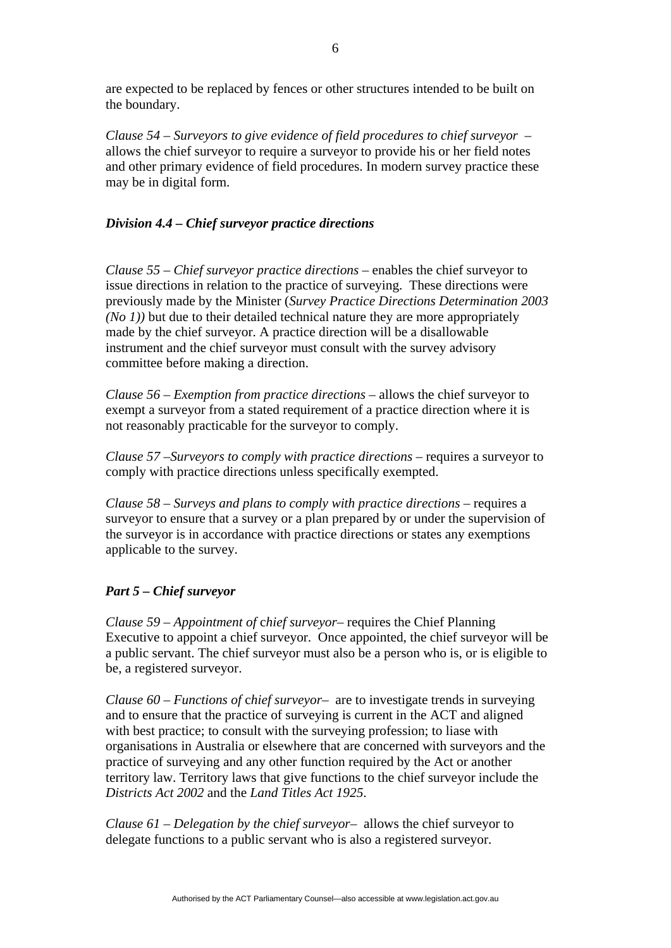are expected to be replaced by fences or other structures intended to be built on the boundary.

*Clause 54 – Surveyors to give evidence of field procedures to chief surveyor* – allows the chief surveyor to require a surveyor to provide his or her field notes and other primary evidence of field procedures. In modern survey practice these may be in digital form.

## *Division 4.4 – Chief surveyor practice directions*

*Clause 55 – Chief surveyor practice directions* – enables the chief surveyor to issue directions in relation to the practice of surveying. These directions were previously made by the Minister (*Survey Practice Directions Determination 2003 (No 1))* but due to their detailed technical nature they are more appropriately made by the chief surveyor. A practice direction will be a disallowable instrument and the chief surveyor must consult with the survey advisory committee before making a direction.

*Clause 56 – Exemption from practice directions* – allows the chief surveyor to exempt a surveyor from a stated requirement of a practice direction where it is not reasonably practicable for the surveyor to comply.

*Clause 57 –Surveyors to comply with practice directions – requires a surveyor to* comply with practice directions unless specifically exempted.

*Clause 58 – Surveys and plans to comply with practice directions – requires a* surveyor to ensure that a survey or a plan prepared by or under the supervision of the surveyor is in accordance with practice directions or states any exemptions applicable to the survey.

### *Part 5 – Chief surveyor*

*Clause 59 – Appointment of* c*hief surveyor*– requires the Chief Planning Executive to appoint a chief surveyor. Once appointed, the chief surveyor will be a public servant. The chief surveyor must also be a person who is, or is eligible to be, a registered surveyor.

*Clause 60 – Functions of* c*hief surveyor*– are to investigate trends in surveying and to ensure that the practice of surveying is current in the ACT and aligned with best practice; to consult with the surveying profession; to liase with organisations in Australia or elsewhere that are concerned with surveyors and the practice of surveying and any other function required by the Act or another territory law. Territory laws that give functions to the chief surveyor include the *Districts Act 2002* and the *Land Titles Act 1925*.

*Clause 61 – Delegation by the* c*hief surveyor*– allows the chief surveyor to delegate functions to a public servant who is also a registered surveyor.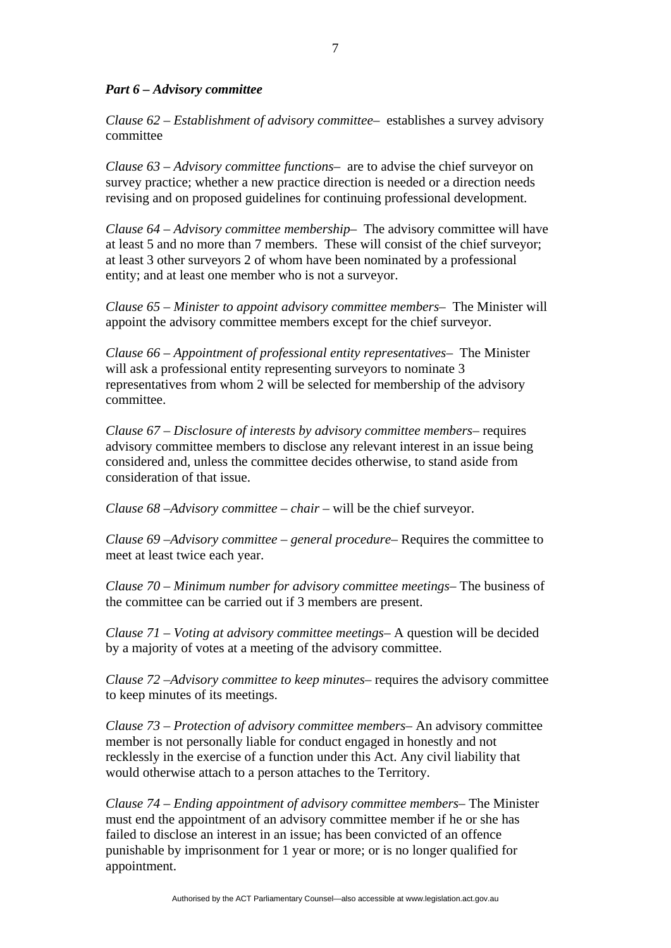#### *Part 6 – Advisory committee*

*Clause 62 – Establishment of advisory committee*– establishes a survey advisory committee

*Clause 63 – Advisory committee functions*– are to advise the chief surveyor on survey practice; whether a new practice direction is needed or a direction needs revising and on proposed guidelines for continuing professional development.

*Clause 64 – Advisory committee membership*– The advisory committee will have at least 5 and no more than 7 members. These will consist of the chief surveyor; at least 3 other surveyors 2 of whom have been nominated by a professional entity; and at least one member who is not a surveyor.

*Clause 65 – Minister to appoint advisory committee members*– The Minister will appoint the advisory committee members except for the chief surveyor.

*Clause 66 – Appointment of professional entity representatives*– The Minister will ask a professional entity representing surveyors to nominate 3 representatives from whom 2 will be selected for membership of the advisory committee.

*Clause 67 – Disclosure of interests by advisory committee members*– requires advisory committee members to disclose any relevant interest in an issue being considered and, unless the committee decides otherwise, to stand aside from consideration of that issue.

*Clause 68 –Advisory committee – chair* – will be the chief surveyor.

*Clause 69 –Advisory committee – general procedure*– Requires the committee to meet at least twice each year.

*Clause 70 – Minimum number for advisory committee meetings*– The business of the committee can be carried out if 3 members are present.

*Clause 71 – Voting at advisory committee meetings*– A question will be decided by a majority of votes at a meeting of the advisory committee.

*Clause 72 –Advisory committee to keep minutes*– requires the advisory committee to keep minutes of its meetings.

*Clause 73 – Protection of advisory committee members*– An advisory committee member is not personally liable for conduct engaged in honestly and not recklessly in the exercise of a function under this Act. Any civil liability that would otherwise attach to a person attaches to the Territory.

*Clause 74 – Ending appointment of advisory committee members*– The Minister must end the appointment of an advisory committee member if he or she has failed to disclose an interest in an issue; has been convicted of an offence punishable by imprisonment for 1 year or more; or is no longer qualified for appointment.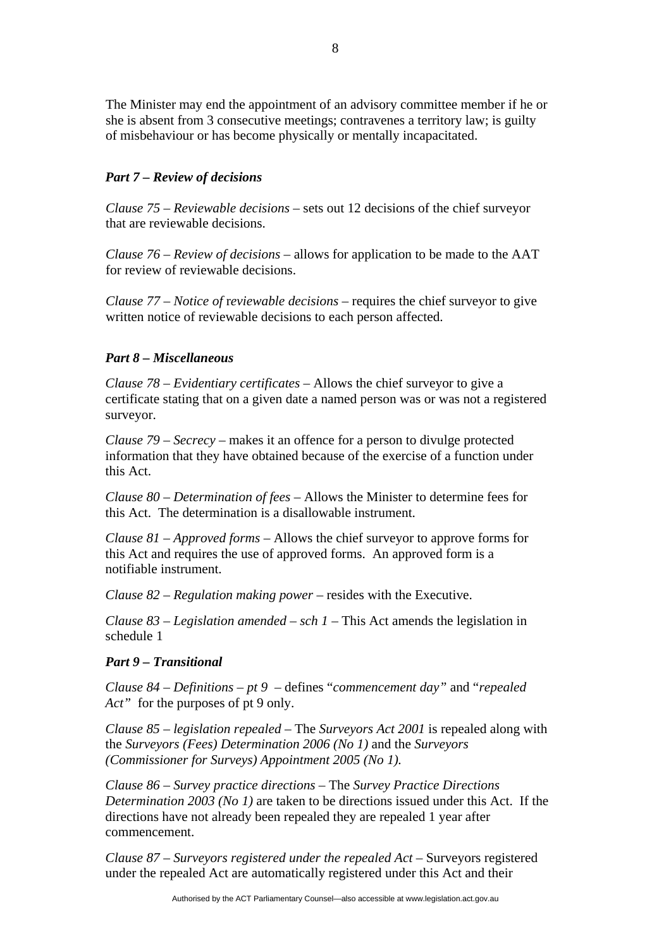The Minister may end the appointment of an advisory committee member if he or she is absent from 3 consecutive meetings; contravenes a territory law; is guilty of misbehaviour or has become physically or mentally incapacitated.

## *Part 7 – Review of decisions*

*Clause 75 – Reviewable decisions* – sets out 12 decisions of the chief surveyor that are reviewable decisions.

*Clause 76 – Review of decisions* – allows for application to be made to the AAT for review of reviewable decisions.

*Clause 77 – Notice of* r*eviewable decisions* – requires the chief surveyor to give written notice of reviewable decisions to each person affected.

#### *Part 8 – Miscellaneous*

*Clause 78 – Evidentiary certificates* – Allows the chief surveyor to give a certificate stating that on a given date a named person was or was not a registered surveyor.

*Clause 79 – Secrecy* – makes it an offence for a person to divulge protected information that they have obtained because of the exercise of a function under this Act.

*Clause 80 – Determination of fees* – Allows the Minister to determine fees for this Act. The determination is a disallowable instrument.

*Clause 81 – Approved forms* – Allows the chief surveyor to approve forms for this Act and requires the use of approved forms. An approved form is a notifiable instrument.

*Clause 82 – Regulation making power* – resides with the Executive.

*Clause 83 – Legislation amended – sch 1* – This Act amends the legislation in schedule 1

#### *Part 9 – Transitional*

*Clause 84 – Definitions – pt 9* – defines "*commencement day"* and "*repealed Act*" for the purposes of pt 9 only.

*Clause 85 – legislation repealed* – The *Surveyors Act 2001* is repealed along with the *Surveyors (Fees) Determination 2006 (No 1)* and the *Surveyors (Commissioner for Surveys) Appointment 2005 (No 1).*

*Clause 86 – Survey practice directions* – The *Survey Practice Directions Determination 2003 (No 1)* are taken to be directions issued under this Act. If the directions have not already been repealed they are repealed 1 year after commencement.

*Clause 87 – Surveyors registered under the repealed Act – Surveyors registered* under the repealed Act are automatically registered under this Act and their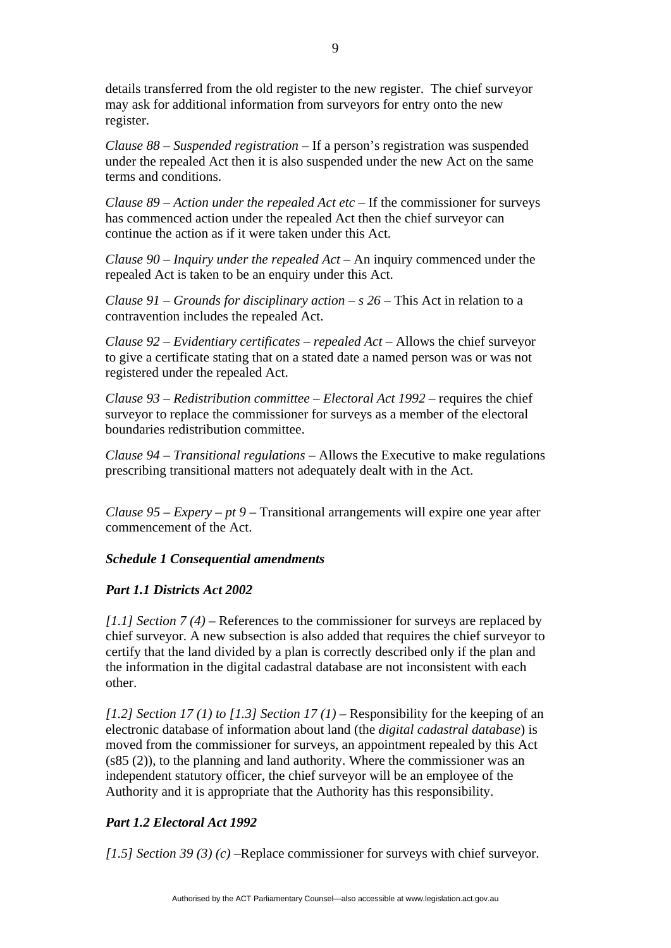details transferred from the old register to the new register. The chief surveyor may ask for additional information from surveyors for entry onto the new register.

*Clause 88 – Suspended registration* – If a person's registration was suspended under the repealed Act then it is also suspended under the new Act on the same terms and conditions.

*Clause 89 – Action under the repealed Act etc* – If the commissioner for surveys has commenced action under the repealed Act then the chief surveyor can continue the action as if it were taken under this Act.

*Clause 90 – Inquiry under the repealed Act* – An inquiry commenced under the repealed Act is taken to be an enquiry under this Act.

*Clause 91 – Grounds for disciplinary action – s 26* – This Act in relation to a contravention includes the repealed Act.

*Clause 92 – Evidentiary certificates – repealed Act* – Allows the chief surveyor to give a certificate stating that on a stated date a named person was or was not registered under the repealed Act.

*Clause 93 – Redistribution committee* – *Electoral Act 1992* – requires the chief surveyor to replace the commissioner for surveys as a member of the electoral boundaries redistribution committee.

*Clause 94 – Transitional regulations* – Allows the Executive to make regulations prescribing transitional matters not adequately dealt with in the Act.

*Clause 95 – Expery – pt 9* – Transitional arrangements will expire one year after commencement of the Act.

### *Schedule 1 Consequential amendments*

### *Part 1.1 Districts Act 2002*

*[1.1] Section 7 (4) –* References to the commissioner for surveys are replaced by chief surveyor. A new subsection is also added that requires the chief surveyor to certify that the land divided by a plan is correctly described only if the plan and the information in the digital cadastral database are not inconsistent with each other.

[1.2] Section 17 (1) to [1.3] Section 17 (1) – Responsibility for the keeping of an electronic database of information about land (the *digital cadastral database*) is moved from the commissioner for surveys, an appointment repealed by this Act (s85 (2)), to the planning and land authority. Where the commissioner was an independent statutory officer, the chief surveyor will be an employee of the Authority and it is appropriate that the Authority has this responsibility.

### *Part 1.2 Electoral Act 1992*

*[1.5] Section 39 (3) (c) –*Replace commissioner for surveys with chief surveyor.